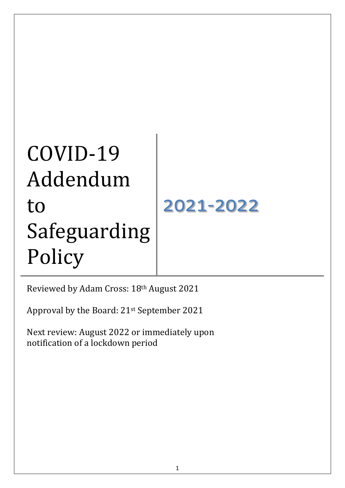# COVID-19 Addendum to Safeguarding Policy 2021-2022

Reviewed by Adam Cross: 18th August 2021

Approval by the Board: 21st September 2021

Next review: August 2022 or immediately upon notification of a lockdown period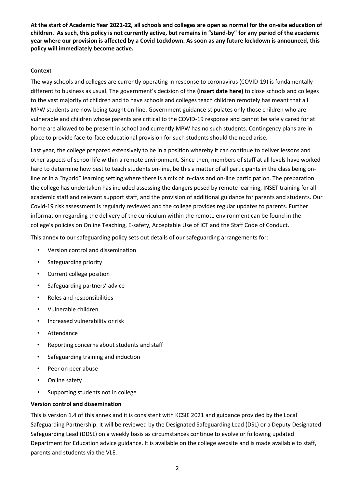**At the start of Academic Year 2021-22, all schools and colleges are open as normal for the on-site education of children. As such, this policy is not currently active, but remains in "stand-by" for any period of the academic year where our provision is affected by a Covid Lockdown. As soon as any future lockdown is announced, this policy will immediately become active.**

## **Context**

The way schools and colleges are currently operating in response to coronavirus (COVID-19) is fundamentally different to business as usual. The government's decision of the **(insert date here)** to close schools and colleges to the vast majority of children and to have schools and colleges teach children remotely has meant that all MPW students are now being taught on-line. Government guidance stipulates only those children who are vulnerable and children whose parents are critical to the COVID-19 response and cannot be safely cared for at home are allowed to be present in school and currently MPW has no such students. Contingency plans are in place to provide face-to-face educational provision for such students should the need arise.

Last year, the college prepared extensively to be in a position whereby it can continue to deliver lessons and other aspects of school life within a remote environment. Since then, members of staff at all levels have worked hard to determine how best to teach students on-line, be this a matter of all participants in the class being online or in a "hybrid" learning setting where there is a mix of in-class and on-line participation. The preparation the college has undertaken has included assessing the dangers posed by remote learning, INSET training for all academic staff and relevant support staff, and the provision of additional guidance for parents and students. Our Covid-19 risk assessment is regularly reviewed and the college provides regular updates to parents. Further information regarding the delivery of the curriculum within the remote environment can be found in the college's policies on Online Teaching, E-safety, Acceptable Use of ICT and the Staff Code of Conduct.

This annex to our safeguarding policy sets out details of our safeguarding arrangements for:

- Version control and dissemination
- Safeguarding priority
- Current college position
- Safeguarding partners' advice
- Roles and responsibilities
- Vulnerable children
- Increased vulnerability or risk
- **Attendance**
- Reporting concerns about students and staff
- Safeguarding training and induction
- Peer on peer abuse
- Online safety
- Supporting students not in college

## **Version control and dissemination**

This is version 1.4 of this annex and it is consistent with KCSIE 2021 and guidance provided by the Local Safeguarding Partnership. It will be reviewed by the Designated Safeguarding Lead (DSL) or a Deputy Designated Safeguarding Lead (DDSL) on a weekly basis as circumstances continue to evolve or following updated Department for Education advice guidance. It is available on the college website and is made available to staff, parents and students via the VLE.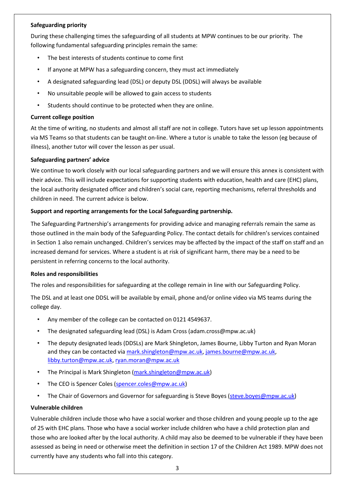## **Safeguarding priority**

During these challenging times the safeguarding of all students at MPW continues to be our priority. The following fundamental safeguarding principles remain the same:

- The best interests of students continue to come first
- If anyone at MPW has a safeguarding concern, they must act immediately
- A designated safeguarding lead (DSL) or deputy DSL (DDSL) will always be available
- No unsuitable people will be allowed to gain access to students
- Students should continue to be protected when they are online.

## **Current college position**

At the time of writing, no students and almost all staff are not in college. Tutors have set up lesson appointments via MS Teams so that students can be taught on-line. Where a tutor is unable to take the lesson (eg because of illness), another tutor will cover the lesson as per usual.

## **Safeguarding partners' advice**

We continue to work closely with our local safeguarding partners and we will ensure this annex is consistent with their advice. This will include expectations for supporting students with education, health and care (EHC) plans, the local authority designated officer and children's social care, reporting mechanisms, referral thresholds and children in need. The current advice is below.

## **Support and reporting arrangements for the Local Safeguarding partnership.**

The Safeguarding Partnership's arrangements for providing advice and managing referrals remain the same as those outlined in the main body of the Safeguarding Policy. The contact details for children's services contained in Section 1 also remain unchanged. Children's services may be affected by the impact of the staff on staff and an increased demand for services. Where a student is at risk of significant harm, there may be a need to be persistent in referring concerns to the local authority.

## **Roles and responsibilities**

The roles and responsibilities for safeguarding at the college remain in line with our Safeguarding Policy.

The DSL and at least one DDSL will be available by email, phone and/or online video via MS teams during the college day.

- Any member of the college can be contacted on 0121 4549637.
- The designated safeguarding lead (DSL) is Adam Cross (adam.cross@mpw.ac.uk)
- The deputy designated leads (DDSLs) are Mark Shingleton, James Bourne, Libby Turton and Ryan Moran and they can be contacted vi[a mark.shingleton@mpw.ac.uk,](mailto:mark.shingleton@mpw.ac.uk) [james.bourne@mpw.ac.uk,](mailto:james.bourne@mpw.ac.uk) [libby.turton@mpw.ac.uk,](mailto:libby.turton@mpw.ac.uk) [ryan.moran@mpw.ac.uk](mailto:ryan.moran@mpw.ac.uk)
- The Principal is Mark Shingleton [\(mark.shingleton@mpw.ac.uk\)](mailto:mark.shingleton@mpw.ac.uk)
- The CEO is Spencer Coles [\(spencer.coles@mpw.ac.uk\)](mailto:spencer.coles@mpw.ac.uk)
- The Chair of Governors and Governor for safeguarding is Steve Boyes [\(steve.boyes@mpw.ac.uk\)](mailto:steve.boyes@mpw.ac.uk)

## **Vulnerable children**

Vulnerable children include those who have a social worker and those children and young people up to the age of 25 with EHC plans. Those who have a social worker include children who have a child protection plan and those who are looked after by the local authority. A child may also be deemed to be vulnerable if they have been assessed as being in need or otherwise meet the definition in section 17 of the Children Act 1989. MPW does not currently have any students who fall into this category.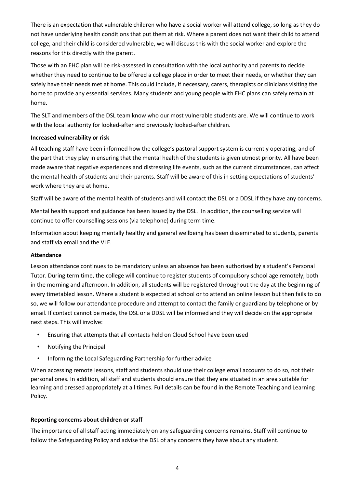There is an expectation that vulnerable children who have a social worker will attend college, so long as they do not have underlying health conditions that put them at risk. Where a parent does not want their child to attend college, and their child is considered vulnerable, we will discuss this with the social worker and explore the reasons for this directly with the parent.

Those with an EHC plan will be risk-assessed in consultation with the local authority and parents to decide whether they need to continue to be offered a college place in order to meet their needs, or whether they can safely have their needs met at home. This could include, if necessary, carers, therapists or clinicians visiting the home to provide any essential services. Many students and young people with EHC plans can safely remain at home.

The SLT and members of the DSL team know who our most vulnerable students are. We will continue to work with the local authority for looked-after and previously looked-after children.

## **Increased vulnerability or risk**

All teaching staff have been informed how the college's pastoral support system is currently operating, and of the part that they play in ensuring that the mental health of the students is given utmost priority. All have been made aware that negative experiences and distressing life events, such as the current circumstances, can affect the mental health of students and their parents. Staff will be aware of this in setting expectations of students' work where they are at home.

Staff will be aware of the mental health of students and will contact the DSL or a DDSL if they have any concerns.

Mental health support and guidance has been issued by the DSL. In addition, the counselling service will continue to offer counselling sessions (via telephone) during term time.

Information about keeping mentally healthy and general wellbeing has been disseminated to students, parents and staff via email and the VLE.

## **Attendance**

Lesson attendance continues to be mandatory unless an absence has been authorised by a student's Personal Tutor. During term time, the college will continue to register students of compulsory school age remotely; both in the morning and afternoon. In addition, all students will be registered throughout the day at the beginning of every timetabled lesson. Where a student is expected at school or to attend an online lesson but then fails to do so, we will follow our attendance procedure and attempt to contact the family or guardians by telephone or by email. If contact cannot be made, the DSL or a DDSL will be informed and they will decide on the appropriate next steps. This will involve:

- Ensuring that attempts that all contacts held on Cloud School have been used
- Notifying the Principal
- Informing the Local Safeguarding Partnership for further advice

When accessing remote lessons, staff and students should use their college email accounts to do so, not their personal ones. In addition, all staff and students should ensure that they are situated in an area suitable for learning and dressed appropriately at all times. Full details can be found in the Remote Teaching and Learning Policy.

# **Reporting concerns about children or staff**

The importance of all staff acting immediately on any safeguarding concerns remains. Staff will continue to follow the Safeguarding Policy and advise the DSL of any concerns they have about any student.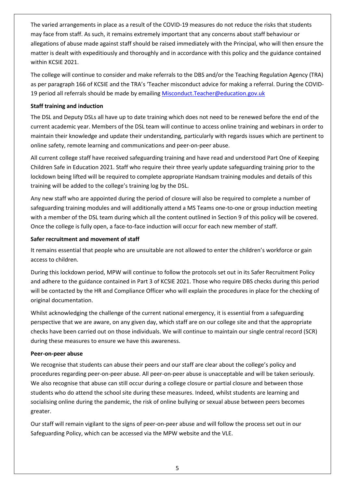The varied arrangements in place as a result of the COVID-19 measures do not reduce the risks that students may face from staff. As such, it remains extremely important that any concerns about staff behaviour or allegations of abuse made against staff should be raised immediately with the Principal, who will then ensure the matter is dealt with expeditiously and thoroughly and in accordance with this policy and the guidance contained within KCSIE 2021.

The college will continue to consider and make referrals to the DBS and/or the Teaching Regulation Agency (TRA) as per paragraph 166 of KCSIE and the TRA's 'Teacher misconduct advice for making a referral. During the COVID-19 period all referrals should be made by emailing [Misconduct.Teacher@education.gov.uk](mailto:Misconduct.Teacher@education.gov.uk)

# **Staff training and induction**

The DSL and Deputy DSLs all have up to date training which does not need to be renewed before the end of the current academic year. Members of the DSL team will continue to access online training and webinars in order to maintain their knowledge and update their understanding, particularly with regards issues which are pertinent to online safety, remote learning and communications and peer-on-peer abuse.

All current college staff have received safeguarding training and have read and understood Part One of Keeping Children Safe in Education 2021. Staff who require their three yearly update safeguarding training prior to the lockdown being lifted will be required to complete appropriate Handsam training modules and details of this training will be added to the college's training log by the DSL.

Any new staff who are appointed during the period of closure will also be required to complete a number of safeguarding training modules and will additionally attend a MS Teams one-to-one or group induction meeting with a member of the DSL team during which all the content outlined in Section 9 of this policy will be covered. Once the college is fully open, a face-to-face induction will occur for each new member of staff.

# **Safer recruitment and movement of staff**

It remains essential that people who are unsuitable are not allowed to enter the children's workforce or gain access to children.

During this lockdown period, MPW will continue to follow the protocols set out in its Safer Recruitment Policy and adhere to the guidance contained in Part 3 of KCSIE 2021. Those who require DBS checks during this period will be contacted by the HR and Compliance Officer who will explain the procedures in place for the checking of original documentation.

Whilst acknowledging the challenge of the current national emergency, it is essential from a safeguarding perspective that we are aware, on any given day, which staff are on our college site and that the appropriate checks have been carried out on those individuals. We will continue to maintain our single central record (SCR) during these measures to ensure we have this awareness.

## **Peer-on-peer abuse**

We recognise that students can abuse their peers and our staff are clear about the college's policy and procedures regarding peer-on-peer abuse. All peer-on-peer abuse is unacceptable and will be taken seriously. We also recognise that abuse can still occur during a college closure or partial closure and between those students who do attend the school site during these measures. Indeed, whilst students are learning and socialising online during the pandemic, the risk of online bullying or sexual abuse between peers becomes greater.

Our staff will remain vigilant to the signs of peer-on-peer abuse and will follow the process set out in our Safeguarding Policy, which can be accessed via the MPW website and the VLE.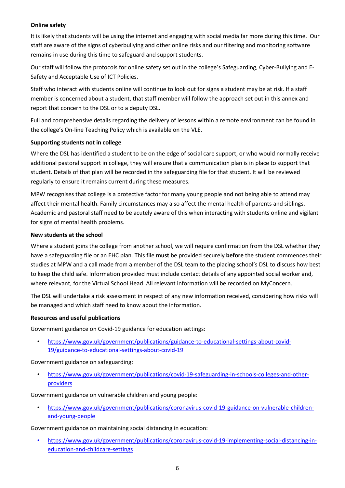## **Online safety**

It is likely that students will be using the internet and engaging with social media far more during this time. Our staff are aware of the signs of cyberbullying and other online risks and our filtering and monitoring software remains in use during this time to safeguard and support students.

Our staff will follow the protocols for online safety set out in the college's Safeguarding, Cyber-Bullying and E-Safety and Acceptable Use of ICT Policies.

Staff who interact with students online will continue to look out for signs a student may be at risk. If a staff member is concerned about a student, that staff member will follow the approach set out in this annex and report that concern to the DSL or to a deputy DSL.

Full and comprehensive details regarding the delivery of lessons within a remote environment can be found in the college's On-line Teaching Policy which is available on the VLE.

#### **Supporting students not in college**

Where the DSL has identified a student to be on the edge of social care support, or who would normally receive additional pastoral support in college, they will ensure that a communication plan is in place to support that student. Details of that plan will be recorded in the safeguarding file for that student. It will be reviewed regularly to ensure it remains current during these measures.

MPW recognises that college is a protective factor for many young people and not being able to attend may affect their mental health. Family circumstances may also affect the mental health of parents and siblings. Academic and pastoral staff need to be acutely aware of this when interacting with students online and vigilant for signs of mental health problems.

#### **New students at the school**

Where a student joins the college from another school, we will require confirmation from the DSL whether they have a safeguarding file or an EHC plan. This file **must** be provided securely **before** the student commences their studies at MPW and a call made from a member of the DSL team to the placing school's DSL to discuss how best to keep the child safe. Information provided must include contact details of any appointed social worker and, where relevant, for the Virtual School Head. All relevant information will be recorded on MyConcern.

The DSL will undertake a risk assessment in respect of any new information received, considering how risks will be managed and which staff need to know about the information.

#### **Resources and useful publications**

Government guidance on Covid-19 guidance for education settings:

• [https://www.gov.uk/government/publications/guidance-to-educational-settings-about-covid-](https://www.gov.uk/government/publications/guidance-to-educational-settings-about-covid-19/guidance-to-educational-settings-about-covid-19)[19/guidance-to-educational-settings-about-covid-19](https://www.gov.uk/government/publications/guidance-to-educational-settings-about-covid-19/guidance-to-educational-settings-about-covid-19)

## Government guidance on safeguarding:

• [https://www.gov.uk/government/publications/covid-19-safeguarding-in-schools-colleges-and-other](https://www.gov.uk/government/publications/covid-19-safeguarding-in-schools-colleges-and-other-providers)[providers](https://www.gov.uk/government/publications/covid-19-safeguarding-in-schools-colleges-and-other-providers)

Government guidance on vulnerable children and young people:

• [https://www.gov.uk/government/publications/coronavirus-covid-19-guidance-on-vulnerable-children](https://www.gov.uk/government/publications/coronavirus-covid-19-guidance-on-vulnerable-children-and-young-people)[and-young-people](https://www.gov.uk/government/publications/coronavirus-covid-19-guidance-on-vulnerable-children-and-young-people)

Government guidance on maintaining social distancing in education:

• [https://www.gov.uk/government/publications/coronavirus-covid-19-implementing-social-distancing-in](https://www.gov.uk/government/publications/coronavirus-covid-19-implementing-social-distancing-in-education-and-childcare-settings)[education-and-childcare-settings](https://www.gov.uk/government/publications/coronavirus-covid-19-implementing-social-distancing-in-education-and-childcare-settings)